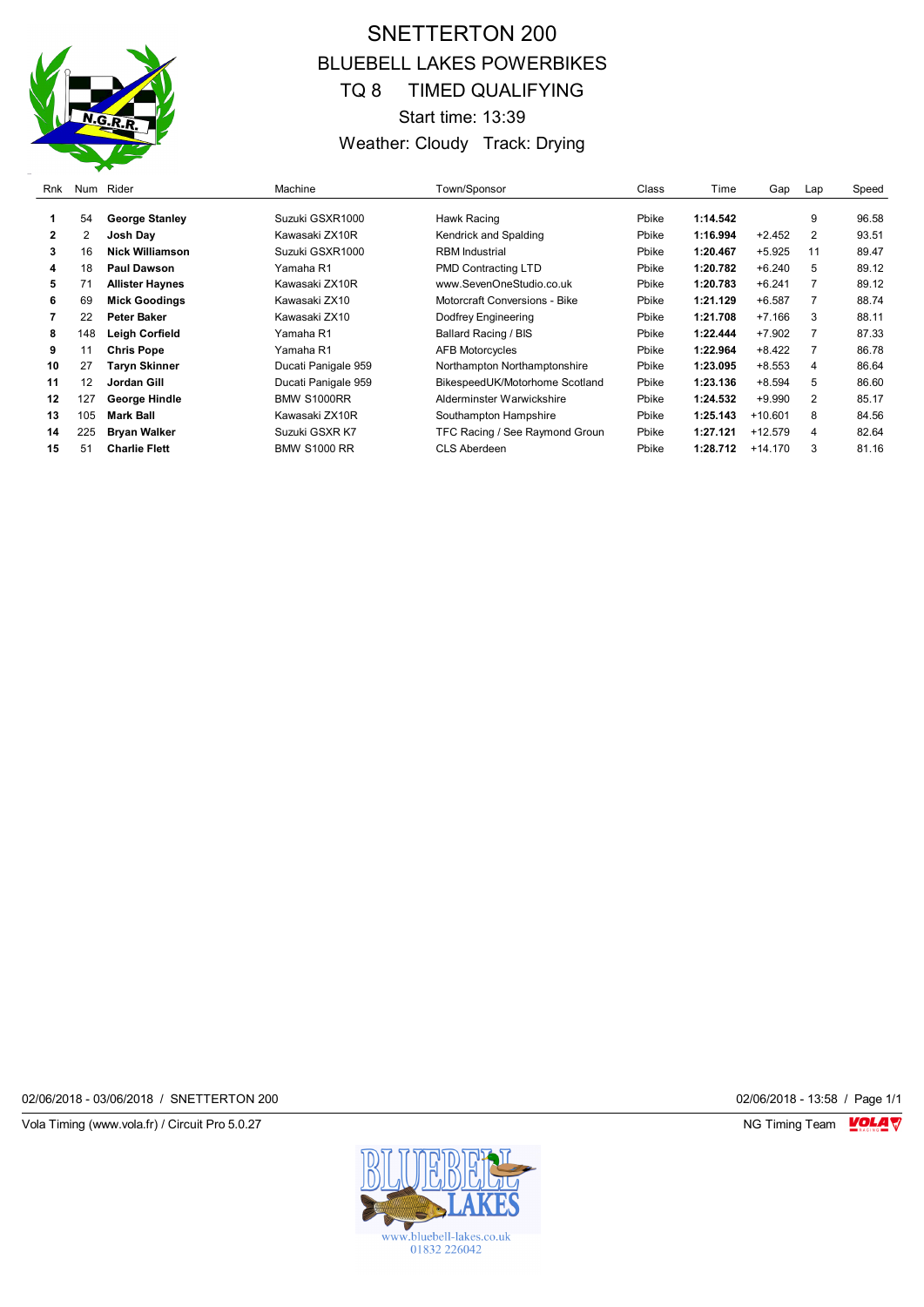

# SNETTERTON 200 BLUEBELL LAKES POWERBIKES TQ 8 TIMED QUALIFYING Start time: 13:39 Weather: Cloudy Track: Drying

| Rnk          | Num | Rider                  | Machine             | Town/Sponsor                   | Class | Time     | Gap       | Lap                     | Speed |
|--------------|-----|------------------------|---------------------|--------------------------------|-------|----------|-----------|-------------------------|-------|
|              | 54  | <b>George Stanley</b>  | Suzuki GSXR1000     | Hawk Racing                    | Pbike | 1:14.542 |           | 9                       | 96.58 |
| $\mathbf{2}$ | 2   | Josh Day               | Kawasaki ZX10R      | Kendrick and Spalding          | Pbike | 1:16.994 | $+2.452$  | $\overline{2}$          | 93.51 |
| 3            | 16  | <b>Nick Williamson</b> | Suzuki GSXR1000     | <b>RBM</b> Industrial          | Pbike | 1:20.467 | $+5.925$  | 11                      | 89.47 |
| 4            | 18  | <b>Paul Dawson</b>     | Yamaha R1           | PMD Contracting LTD            | Pbike | 1:20.782 | $+6.240$  | 5                       | 89.12 |
| 5            | 71  | <b>Allister Haynes</b> | Kawasaki ZX10R      | www.SevenOneStudio.co.uk       | Pbike | 1:20.783 | $+6.241$  |                         | 89.12 |
| 6            | 69  | <b>Mick Goodings</b>   | Kawasaki ZX10       | Motorcraft Conversions - Bike  | Pbike | 1:21.129 | $+6.587$  | 7                       | 88.74 |
|              | 22  | Peter Baker            | Kawasaki ZX10       | Dodfrey Engineering            | Pbike | 1:21.708 | $+7.166$  | 3                       | 88.11 |
| 8            | 148 | <b>Leigh Corfield</b>  | Yamaha R1           | Ballard Racing / BIS           | Pbike | 1:22.444 | $+7.902$  |                         | 87.33 |
| 9            | 11  | <b>Chris Pope</b>      | Yamaha R1           | <b>AFB Motorcycles</b>         | Pbike | 1:22.964 | $+8.422$  |                         | 86.78 |
| 10           | 27  | Taryn Skinner          | Ducati Panigale 959 | Northampton Northamptonshire   | Pbike | 1:23.095 | $+8.553$  | 4                       | 86.64 |
| 11           | 12  | Jordan Gill            | Ducati Panigale 959 | BikespeedUK/Motorhome Scotland | Pbike | 1:23.136 | $+8.594$  | 5                       | 86.60 |
| 12           | 127 | George Hindle          | <b>BMW S1000RR</b>  | Alderminster Warwickshire      | Pbike | 1:24.532 | $+9.990$  | 2                       | 85.17 |
| 13           | 105 | <b>Mark Ball</b>       | Kawasaki ZX10R      | Southampton Hampshire          | Pbike | 1:25.143 | $+10.601$ | 8                       | 84.56 |
| 14           | 225 | <b>Bryan Walker</b>    | Suzuki GSXR K7      | TFC Racing / See Raymond Groun | Pbike | 1:27.121 | $+12.579$ | $\overline{\mathbf{4}}$ | 82.64 |
| 15           | 51  | <b>Charlie Flett</b>   | <b>BMW S1000 RR</b> | CLS Aberdeen                   | Pbike | 1:28.712 | $+14.170$ | 3                       | 81.16 |

02/06/2018 - 03/06/2018 / SNETTERTON 200

Vola Timing (www.vola.fr) / Circuit Pro 5.0.27 **NG Timing Team** Vola Timing Team VOLA V

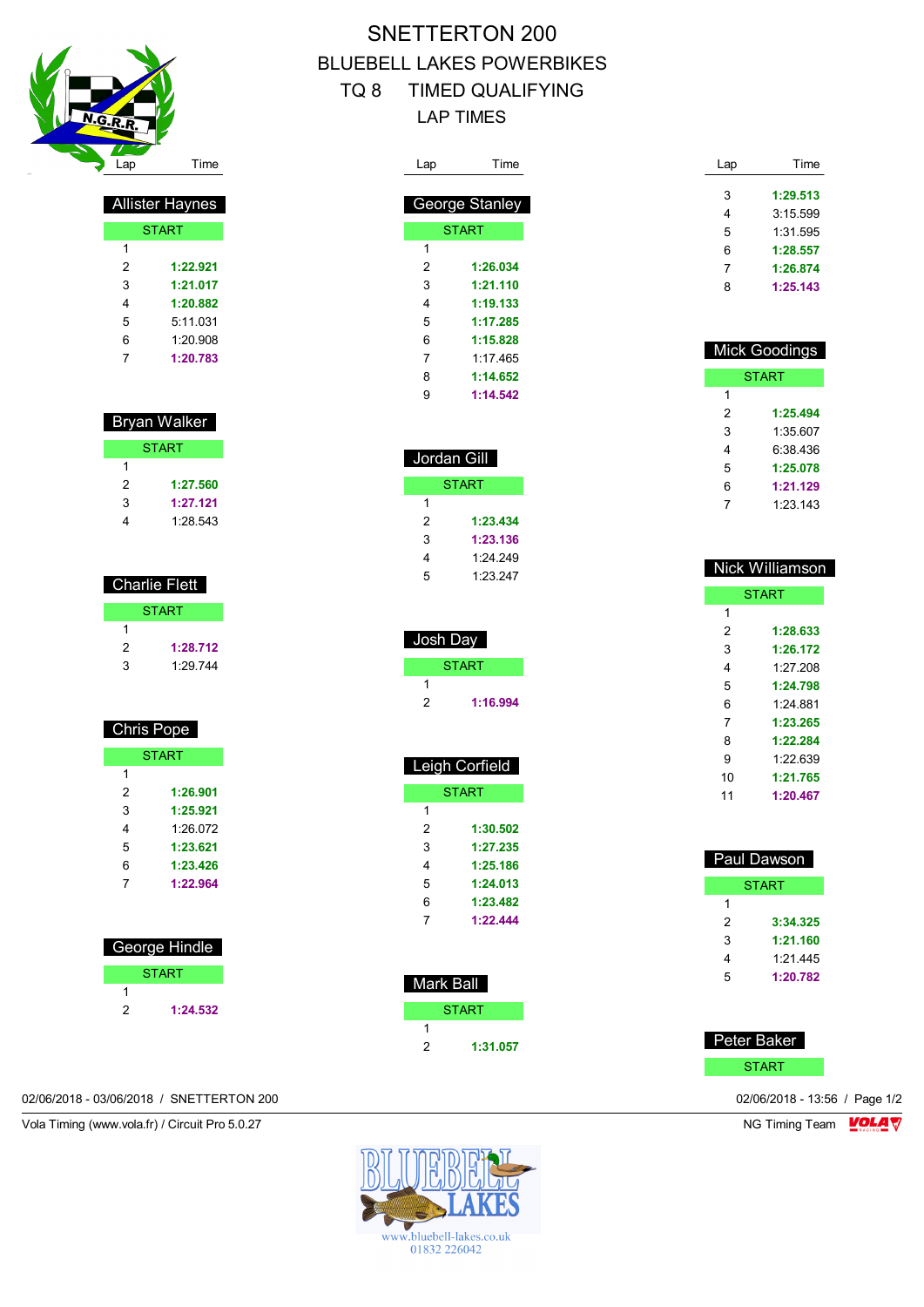

| <b>Allister Haynes</b> |              |  |  |
|------------------------|--------------|--|--|
|                        | <b>START</b> |  |  |
| 1                      |              |  |  |
| 2                      | 1:22.921     |  |  |
| 3                      | 1:21.017     |  |  |
| 4                      | 1:20.882     |  |  |
| 5                      | 5:11.031     |  |  |
| 6                      | 1:20.908     |  |  |
| 7                      | 1:20.783     |  |  |

#### Bryan Walker

|   | <b>START</b> |
|---|--------------|
|   |              |
| 2 | 1:27.560     |
| 3 | 1:27.121     |
|   | 1:28.543     |

## Charlie Flett **START**

| 1 |          |
|---|----------|
| 2 | 1:28.712 |
| 3 | 1:29.744 |

### Chris Pope

| <b>START</b> |          |  |  |  |
|--------------|----------|--|--|--|
| 1            |          |  |  |  |
| 2            | 1:26.901 |  |  |  |
| 3            | 1:25.921 |  |  |  |
| 4            | 1:26.072 |  |  |  |
| 5            | 1:23.621 |  |  |  |
| 6            | 1:23.426 |  |  |  |
| 7            | 1:22.964 |  |  |  |

| George Hindle |              |  |
|---------------|--------------|--|
|               | <b>START</b> |  |
|               |              |  |
|               | 1:24.532     |  |

### 02/06/2018 - 03/06/2018 / SNETTERTON 200 02/06/2018 - 13:56 / Page 1/2

Vola Timing (www.vola.fr) / Circuit Pro 5.0.27 NG Timing Team Monetary NG Timing Team Monetary

# SNETTERTON 200 BLUEBELL LAKES POWERBIKES TQ 8 TIMED QUALIFYING LAP TIMES

| Lap | Time           |
|-----|----------------|
|     |                |
|     | George Stanley |
|     | <b>START</b>   |
| 1   |                |
| 2   | 1:26.034       |
| 3   | 1:21.110       |
| 4   | 1:19.133       |
| 5   | 1:17.285       |
| 6   | 1:15.828       |
| 7   | 1:17.465       |
| 8   | 1:14.652       |
| 9   | 1:14.542       |

| Jordan Gill  |          |  |
|--------------|----------|--|
| <b>START</b> |          |  |
| 1            |          |  |
| 2            | 1:23.434 |  |
| 3            | 1:23.136 |  |
| 4            | 1.24.249 |  |
| 5            | 1:23.247 |  |

| Josh Day |          |  |
|----------|----------|--|
|          | START    |  |
|          |          |  |
| 2        | 1:16.994 |  |

| Leigh Corfield |              |  |  |
|----------------|--------------|--|--|
|                | <b>START</b> |  |  |
| 1              |              |  |  |
| 2              | 1:30.502     |  |  |
| 3              | 1:27.235     |  |  |
| 4              | 1:25.186     |  |  |
| 5              | 1:24.013     |  |  |
| 6              | 1:23.482     |  |  |
| 7              | 1:22.444     |  |  |
|                |              |  |  |

| Mark B <u>all</u> |              |  |
|-------------------|--------------|--|
|                   | <b>START</b> |  |
|                   |              |  |
| 2                 | 1:31.057     |  |

| Lap | Time     |
|-----|----------|
|     |          |
| 3   | 1:29.513 |
| 4   | 3:15.599 |
| 5   | 1:31.595 |
| 6   | 1:28.557 |
| 7   | 1:26.874 |
| 8   | 1:25.143 |

| <b>Mick Goodings</b> |          |  |  |  |
|----------------------|----------|--|--|--|
| <b>START</b>         |          |  |  |  |
| 1                    |          |  |  |  |
| 2                    | 1:25.494 |  |  |  |
| 3                    | 1:35.607 |  |  |  |
| 4                    | 6:38 436 |  |  |  |
| 5                    | 1:25.078 |  |  |  |
| 6                    | 1:21.129 |  |  |  |
| 7                    | 1:23.143 |  |  |  |
|                      |          |  |  |  |

| Nick Williamson |  |  |  |  |
|-----------------|--|--|--|--|
| <b>START</b>    |  |  |  |  |
|                 |  |  |  |  |
| 1:28.633        |  |  |  |  |
| 1:26.172        |  |  |  |  |
| 1:27.208        |  |  |  |  |
| 1:24.798        |  |  |  |  |
| 1:24 881        |  |  |  |  |
| 1:23.265        |  |  |  |  |
| 1:22.284        |  |  |  |  |
| 1.22 639        |  |  |  |  |
| 1:21.765        |  |  |  |  |
| 1:20.467        |  |  |  |  |
|                 |  |  |  |  |

| Paul Dawson |          |  |  |
|-------------|----------|--|--|
| START       |          |  |  |
| 1           |          |  |  |
| 2           | 3:34.325 |  |  |
| 3           | 1:21.160 |  |  |
| 4           | 1.21 445 |  |  |
| 5           | 1:20.782 |  |  |

| Peter Baker  |  |
|--------------|--|
| <b>START</b> |  |

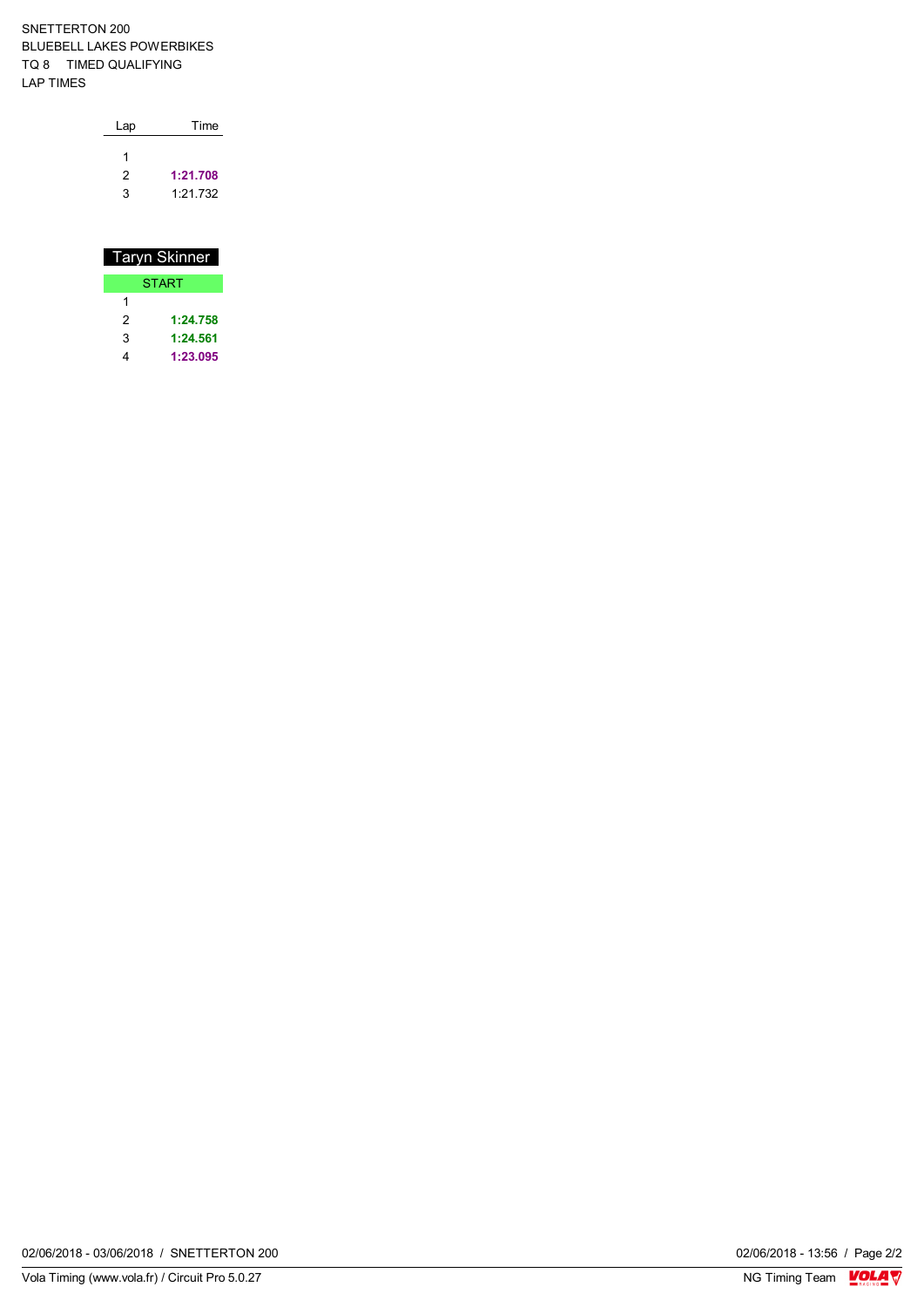SNETTERTON 200 BLUEBELL LAKES POWERBIKES TQ 8 TIMED QUALIFYING LAP TIMES

| Lap | Time     |  |  |
|-----|----------|--|--|
| 1   |          |  |  |
| 2   | 1:21.708 |  |  |
| 3   | 1:21.732 |  |  |

| Taryn Skinner |          |  |  |
|---------------|----------|--|--|
| <b>START</b>  |          |  |  |
|               |          |  |  |
| 2             | 1:24.758 |  |  |
| 3             | 1:24.561 |  |  |
|               | 1:23.095 |  |  |

02/06/2018 - 03/06/2018 / SNETTERTON 200

02/06/2018 - 13:56 / Page 2/2<br>NG Timing Team  $\sqrt{\frac{1}{2}}$